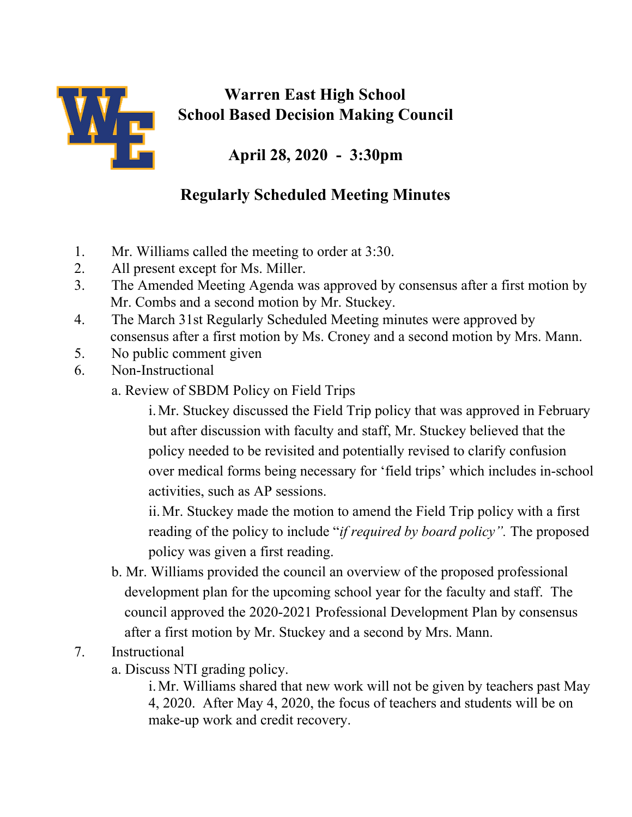

## **Warren East High School School Based Decision Making Council**

**April 28, 2020 - 3:30pm**

## **Regularly Scheduled Meeting Minutes**

- 1. Mr. Williams called the meeting to order at 3:30.
- 2. All present except for Ms. Miller.
- 3. The Amended Meeting Agenda was approved by consensus after a first motion by Mr. Combs and a second motion by Mr. Stuckey.
- 4. The March 31st Regularly Scheduled Meeting minutes were approved by consensus after a first motion by Ms. Croney and a second motion by Mrs. Mann.
- 5. No public comment given
- 6. Non-Instructional
	- a. Review of SBDM Policy on Field Trips

i.Mr. Stuckey discussed the Field Trip policy that was approved in February but after discussion with faculty and staff, Mr. Stuckey believed that the policy needed to be revisited and potentially revised to clarify confusion over medical forms being necessary for 'field trips' which includes in-school activities, such as AP sessions.

ii.Mr. Stuckey made the motion to amend the Field Trip policy with a first reading of the policy to include "*if required by board policy".* The proposed policy was given a first reading.

b. Mr. Williams provided the council an overview of the proposed professional development plan for the upcoming school year for the faculty and staff. The council approved the 2020-2021 Professional Development Plan by consensus after a first motion by Mr. Stuckey and a second by Mrs. Mann.

## 7. Instructional

a. Discuss NTI grading policy.

i.Mr. Williams shared that new work will not be given by teachers past May 4, 2020. After May 4, 2020, the focus of teachers and students will be on make-up work and credit recovery.